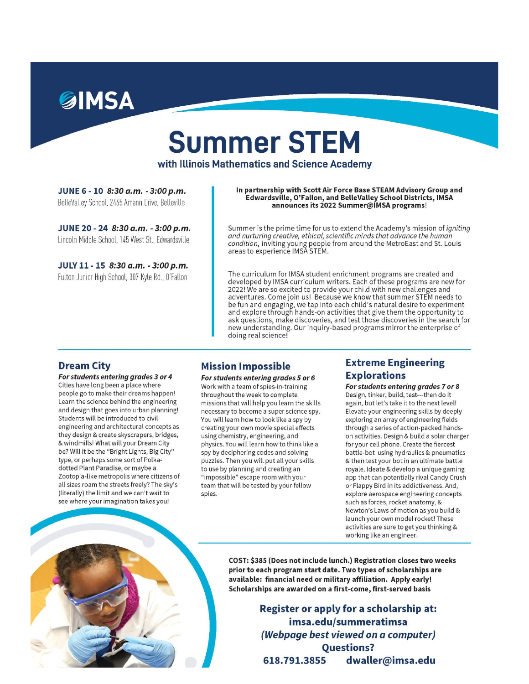

# **Summer STEM**

with Illinois Mathematics and Science Academy

JUNE 6 - 10 8:30 a.m. - 3:00 p.m. BelleValley School, 2465 Amann Drive, Belleville

JUNE 20 - 24 8:30 a.m. - 3:00 p.m. Lincoln Middle School, 145 West St., Edwardsville

JULY 11 - 15 8:30 a.m. - 3:00 p.m. Fulton Junior High School, 307 Kyle Rd., O'Fallon

In partnership with Scott Air Force Base STEAM Advisory Group and Edwardsville, O'Fallon, and BelleValley School Districts, IMSA announces its 2022 Summer@IMSA programs!

Summer is the prime time for us to extend the Academy's mission of *igniting* and nurturing creative, ethical, scientific minds that advance the human condition, inviting young people from around the MetroEast and St. Louis<br>areas to experience IMSA STEM.

The curriculum for IMSA student enrichment programs are created and<br>developed by IMSA curriculum writers. Each of these programs are new for 2022! We are so excited to provide your child with new challenges and adventures. Come join us! Because we know that summer STEM needs to be fun and engaging, we tap into each child's natural desire to experiment and explore through hands-on activities that give them the opportunity to ask questions, make discoveries, and test those discoveries in the search for new understanding. Our inquiry-based programs mirror the enterprise of doing real science!

#### **Dream City**

For students entering grades 3 or 4 Cities have long been a place where people go to make their dreams happen! Learn the science behind the engineering and design that goes into urban planning! Students will be introduced to civil engineering and architectural concepts as they design & create skyscrapers, bridges, & windmills! What will your Dream City be? Will it be the "Bright Lights, Big City" type, or perhaps some sort of Polkadotted Plant Paradise, or maybe a Zootopia-like metropolis where citizens of all sizes roam the streets freely? The sky's (literally) the limit and we can't wait to see where your imagination takes you!

#### **Mission Impossible**

For students entering grades 5 or 6 Work with a team of spies-in-training throughout the week to complete missions that will help you learn the skills necessary to become a super science spy. You will learn how to look like a spy by creating your own movie special effects using chemistry, engineering, and physics. You will learn how to think like a spy by deciphering codes and solving puzzles. Then you will put all your skills to use by planning and creating an "impossible" escape room with your team that will be tested by your fellow spies.

#### **Extreme Engineering Explorations**

For students entering grades 7 or 8 Design, tinker, build, test---then do it again, but let's take it to the next level! Elevate your engineering skills by deeply exploring an array of engineering fields through a series of action-packed handson activities. Design & build a solar charger for your cell phone. Create the fiercest battle-bot using hydraulics & pneumatics & then test your bot in an ultimate battle royale. Ideate & develop a unique gaming app that can potentially rival Candy Crush or Flappy Bird in its addictiveness. And, explore aerospace engineering concepts such as forces, rocket anatomy, & Newton's Laws of motion as you build & launch your own model rocket! These activities are sure to get you thinking & working like an engineer!



COST: \$385 (Does not include lunch.) Registration closes two weeks prior to each program start date. Two types of scholarships are available: financial need or military affiliation. Apply early! Scholarships are awarded on a first-come, first-served basis

> Register or apply for a scholarship at: imsa.edu/summeratimsa (Webpage best viewed on a computer) **Questions?** 618.791.3855 dwaller@imsa.edu